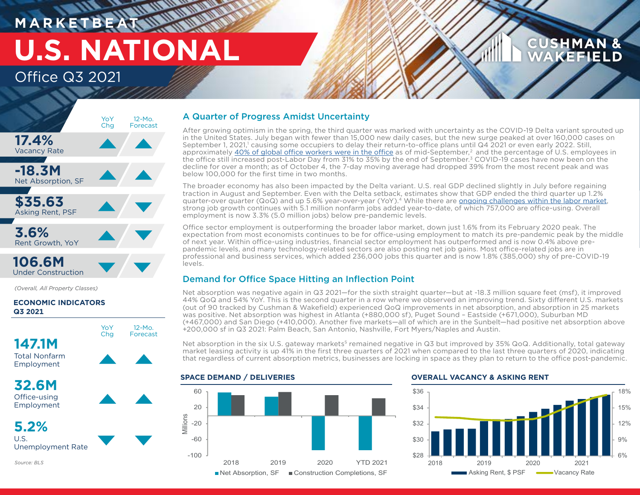## **MARKETBE U.S. NATIONAL** Office Q3 2021

## **CUSHMAN & AKEFIELD**



Under Construction

*(Overall, All Property Classes)*

## **ECONOMIC INDICATORS Q3 2021**



U.S. Unemployment Rate

*Source: BLS*

## A Quarter of Progress Amidst Uncertainty

After growing optimism in the spring, the third quarter was marked with uncertainty as the COVID-19 Delta variant sprouted up in the United States. July began with fewer than 15,000 new daily cases, but the new surge peaked at over 160,000 cases on September 1, 2021,' causing some occupiers to delay their return-to-office plans until Q4 2021 or even early 2022. Still, approximately [40% of global office workers were in the office](https://www.cushmanwakefield.com/en/insights/predicting-the-return-to-the-office) as of mid-September,<sup>2</sup> and the percentage of U.S. employees in the office still increased post-Labor Day from 31% to 35% by the end of September.3 COVID-19 cases have now been on the decline for over a month; as of October 4, the 7-day moving average had dropped 39% from the most recent peak and was below 100,000 for the first time in two months.

The broader economy has also been impacted by the Delta variant. U.S. real GDP declined slightly in July before regaining traction in August and September. Even with the Delta setback, estimates show that GDP ended the third quarter up 1.2% quarter-over quarter (QoQ) and up 5.6% year-over-year (YoY).4 While there are [ongoing challenges within the labor market,](https://www.cushmanwakefield.com/en/united-states/insights/5-key-us-labor-market-trends-impacting-cre) strong job growth continues with 5.1 million nonfarm jobs added year-to-date, of which 757,000 are office-using. Overall employment is now 3.3% (5.0 million jobs) below pre-pandemic levels.

Office sector employment is outperforming the broader labor market, down just 1.6% from its February 2020 peak. The expectation from most economists continues to be for office-using employment to match its pre-pandemic peak by the middle of next year. Within office-using industries, financial sector employment has outperformed and is now 0.4% above prepandemic levels, and many technology-related sectors are also posting net job gains. Most office-related jobs are in professional and business services, which added 236,000 jobs this quarter and is now 1.8% (385,000) shy of pre-COVID-19 levels.

## Demand for Office Space Hitting an Inflection Point

Net absorption was negative again in Q3 2021—for the sixth straight quarter—but at -18.3 million square feet (msf), it improved 44% QoQ and 54% YoY. This is the second quarter in a row where we observed an improving trend. Sixty different U.S. markets (out of 90 tracked by Cushman & Wakefield) experienced QoQ improvements in net absorption, and absorption in 25 markets was positive. Net absorption was highest in Atlanta (+880,000 sf), Puget Sound – Eastside (+671,000), Suburban MD (+467,000) and San Diego (+410,000). Another five markets—all of which are in the Sunbelt—had positive net absorption above +200,000 sf in Q3 2021: Palm Beach, San Antonio, Nashville, Fort Myers/Naples and Austin.

Net absorption in the six U.S. gateway markets<sup>5</sup> remained negative in Q3 but improved by 35% QoQ. Additionally, total gateway market leasing activity is up 41% in the first three quarters of 2021 when compared to the last three quarters of 2020, indicating that regardless of current absorption metrics, businesses are locking in space as they plan to return to the office post-pandemic.

## **SPACE DEMAND / DELIVERIES**



### **OVERALL VACANCY & ASKING RENT**

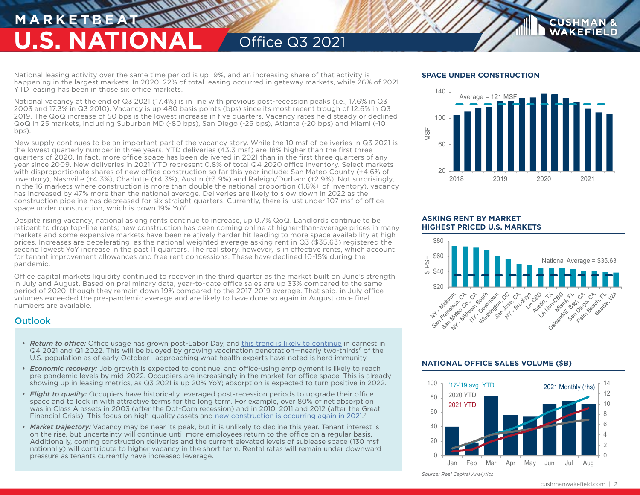## **MARKETBE U.S. NATIONAL** Office Q3 2021

National leasing activity over the same time period is up 19%, and an increasing share of that activity is happening in the largest markets. In 2020, 22% of total leasing occurred in gateway markets, while 26% of 2021 YTD leasing has been in those six office markets.

National vacancy at the end of Q3 2021 (17.4%) is in line with previous post-recession peaks (i.e., 17.6% in Q3 2003 and 17.3% in Q3 2010). Vacancy is up 480 basis points (bps) since its most recent trough of 12.6% in Q3 2019. The QoQ increase of 50 bps is the lowest increase in five quarters. Vacancy rates held steady or declined QoQ in 25 markets, including Suburban MD (-80 bps), San Diego (-25 bps), Atlanta (-20 bps) and Miami (-10 bps).

New supply continues to be an important part of the vacancy story. While the 10 msf of deliveries in Q3 2021 is the lowest quarterly number in three years, YTD deliveries (43.3 msf) are 18% higher than the first three quarters of 2020. In fact, more office space has been delivered in 2021 than in the first three quarters of any year since 2009. New deliveries in 2021 YTD represent 0.8% of total Q4 2020 office inventory. Select markets with disproportionate shares of new office construction so far this year include: San Mateo County (+4.6% of inventory), Nashville (+4.3%), Charlotte (+4.3%), Austin (+3.9%) and Raleigh/Durham (+2.9%). Not surprisingly, in the 16 markets where construction is more than double the national proportion (1.6%+ of inventory), vacancy has increased by 47% more than the national average. Deliveries are likely to slow down in 2022 as the construction pipeline has decreased for six straight quarters. Currently, there is just under 107 msf of office space under construction, which is down 19% YoY.

Despite rising vacancy, national asking rents continue to increase, up 0.7% QoQ. Landlords continue to be reticent to drop top-line rents; new construction has been coming online at higher-than-average prices in many markets and some expensive markets have been relatively harder hit leading to more space availability at high prices. Increases are decelerating, as the national weighted average asking rent in Q3 (\$35.63) registered the second lowest YoY increase in the past 11 quarters. The real story, however, is in effective rents, which account for tenant improvement allowances and free rent concessions. These have declined 10-15% during the pandemic.

Office capital markets liquidity continued to recover in the third quarter as the market built on June's strength in July and August. Based on preliminary data, year-to-date office sales are up 33% compared to the same period of 2020, though they remain down 19% compared to the 2017-2019 average. That said, in July office volumes exceeded the pre-pandemic average and are likely to have done so again in August once final numbers are available.

## **Outlook**

- *• Return to office:* Office usage has grown post-Labor Day, and [this trend is likely to continue](https://www.cushmanwakefield.com/en/insights/predicting-the-return-to-the-office) in earnest in Q4 2021 and Q1 2022. This will be buoyed by growing vaccination penetration—nearly two-thirds<sup>6</sup> of the U.S. population as of early October—approaching what health experts have noted is herd immunity.
- *• Economic recovery:* Job growth is expected to continue, and office-using employment is likely to reach pre-pandemic levels by mid-2022. Occupiers are increasingly in the market for office space. This is already showing up in leasing metrics, as Q3 2021 is up 20% YoY; absorption is expected to turn positive in 2022.
- *• Flight to quality:* Occupiers have historically leveraged post-recession periods to upgrade their office space and to lock in with attractive terms for the long term. For example, over 80% of net absorption was in Class A assets in 2003 (after the Dot-Com recession) and in 2010, 2011 and 2012 (after the Great Financial Crisis). This focus on high-quality assets and [new construction is occurring again in 2021](https://www.cushmanwakefield.com/en/united-states/insights/research-spotlight-new-us-office-building-performance).<sup>7</sup>
- *• Market trajectory:* Vacancy may be near its peak, but it is unlikely to decline this year. Tenant interest is on the rise, but uncertainty will continue until more employees return to the office on a regular basis. Additionally, coming construction deliveries and the current elevated levels of sublease space (130 msf nationally) will contribute to higher vacancy in the short term. Rental rates will remain under downward pressure as tenants currently have increased leverage.

## **SPACE UNDER CONSTRUCTION**



**CUSHMAN WAKEFIELD** 

## **ASKING RENT BY MARKET HIGHEST PRICED U.S. MARKETS**



## **NATIONAL OFFICE SALES VOLUME (\$B)**



*Source: Real Capital Analytics*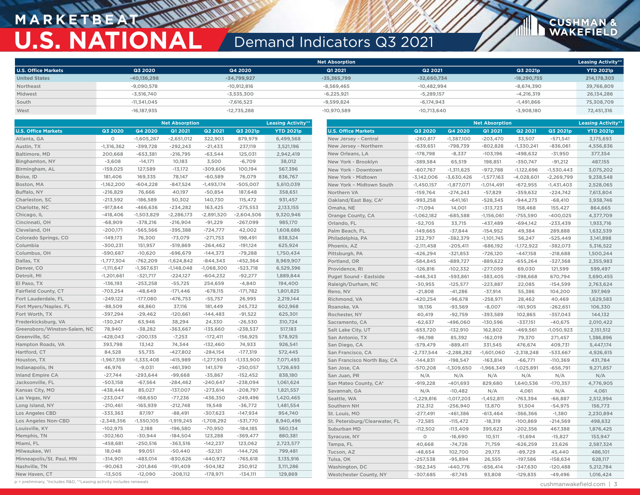## **M A R K E T B E AT U.S. NATIONAL** Demand Indicators Q3 2021

|                            |               |               | <b>Net Absorption</b> |               |               | <b>Leasing Activity**</b> |
|----------------------------|---------------|---------------|-----------------------|---------------|---------------|---------------------------|
| <b>U.S. Office Markets</b> | Q3 2020       | Q4 2020       | Q1 2021               | Q2 2021       | Q3 2021p      | YTD 2021p                 |
| <b>United States</b>       | $-40,136,298$ | $-34,799,927$ | $-35,365,799$         | $-32,660,734$ | $-18,290,755$ | 214,178,303               |
| Northeast                  | $-9,090,578$  | $-10,912,816$ | $-8,569,465$          | $-10,482,994$ | $-8,674,390$  | 39,766,809                |
| Midwest                    | $-3,516,740$  | $-3,535,300$  | $-6,225,921$          | $-5,289,157$  | $-4.216.319$  | 26,134,286                |
| South                      | $-11,341,045$ | $-7.616.523$  | $-9.599.824$          | $-6.174.943$  | $-1.491.866$  | 75,308,709                |
| West                       | $-16,187,935$ | $-12,735,288$ | $-10,970,589$         | $-10,713,640$ | $-3,908,180$  | 72,451,316                |

| <b>Net Absorption</b>        |              |              |              | <b>Leasing Activity*</b> |              |                  | <b>Net Absorption</b>         |              |              |              | <b>Leasing Activity*</b> |              |                  |
|------------------------------|--------------|--------------|--------------|--------------------------|--------------|------------------|-------------------------------|--------------|--------------|--------------|--------------------------|--------------|------------------|
| <b>U.S. Office Markets</b>   | Q3 2020      | Q4 2020      | Q1 2021      | Q2 2021                  | Q3 2021p     | <b>YTD 2021p</b> | <b>U.S. Office Markets</b>    | Q3 2020      | Q4 2020      | Q1 2021      | Q2 2021                  | Q3 2021p     | <b>YTD 2021p</b> |
| Atlanta, GA                  | $\circ$      | $-1,605,267$ | $-2,651,012$ | 322,903                  | 879,979      | 6,499,568        | New Jersey - Central          | $-260,817$   | $-1,387,100$ | $-203,470$   | 33,507                   | $-571,541$   | 3,175,693        |
| Austin, TX                   | $-1,316,362$ | $-399,728$   | $-292,243$   | $-21,433$                | 237,119      | 3,521,196        | New Jersey - Northern         | $-639,651$   | -798,739     | $-802,828$   | $-1,330,241$             | $-836,061$   | 4,556,836        |
| Baltimore, MD                | 200,668      | $-653,381$   | $-216,795$   | $-63,544$                | 125,031      | 2,942,419        | New Orleans, LA               | $-178,798$   | $-8,337$     | $-103,196$   | $-498,632$               | $-31,950$    | 377,354          |
| Binghamton, NY               | $-3,608$     | $-14,171$    | 10,183       | 3,500                    | $-6,709$     | 38,012           | New York - Brooklyn           | $-389,584$   | 65,519       | 198,851      | $-350,747$               | $-91,212$    | 487,155          |
| Birmingham, AL               | $-159,025$   | 127,589      | $-13,172$    | $-309,606$               | 100,194      | 567,396          | New York - Downtown           | $-607,767$   | $-1,311,625$ | $-972,788$   | $-1,122,696$             | $-1,530,443$ | 3,075,202        |
| Boise, ID                    | 181,406      | 169,335      | 78,147       | $-60,589$                | 76,079       | 836,767          | New York - Midtown            | $-3,142,006$ | $-3,630,426$ | $-1,577,163$ | $-4,028,601$             | $-2,269,799$ | 9,238,548        |
| Boston, MA                   | $-1,162,200$ | $-604,228$   | $-847,524$   | $-1,493,174$             | $-505,007$   | 5,610,039        | New York - Midtown South      | $-1,450,157$ | $-1,877,071$ | $-1,014,491$ | $-672,955$               | $-1,431,403$ | 2,528,065        |
| Buffalo, NY                  | $-216,829$   | 76,666       | 40,197       | $-50,854$                | 187,648      | 358,651          | Northern VA                   | $-159,764$   | $-274,243$   | $-57,829$    | $-359,632$               | $-224,742$   | 7,613,804        |
| Charleston, SC               | $-213,592$   | $-186,589$   | 50,302       | 140,730                  | 115,472      | 931,457          | Oakland/East Bay, CA*         | $-993,258$   | $-641,161$   | $-528,345$   | $-944,273$               | $-68,410$    | 3,938,746        |
| Charlotte, NC                | $-917,844$   | $-466,636$   | $-234,282$   | 163,425                  | $-275,553$   | 2,133,155        | Omaha, NE                     | $-71,094$    | 14,001       | $-313,723$   | 158,468                  | 155,427      | 864,665          |
| Chicago, IL                  | $-418,406$   | $-1,503,829$ | $-2,286,173$ | $-2,891,520$             | $-2,604,506$ | 9,320,946        | Orange County, CA             | $-1,062,182$ | $-685,588$   | $-1,156,061$ | $-755,590$               | $-400,025$   | 4,377,709        |
| Cincinnati, OH               | $-68,909$    | $-378,216$   | $-216,904$   | $-91,229$                | $-267,099$   | 985,170          | Orlando, FL                   | $-52,705$    | 33,715       | $-437,489$   | -694,142                 | $-233,439$   | 1,933,716        |
| Cleveland, OH                | $-200,171$   | $-565,566$   | $-395,388$   | $-724,777$               | 42,002       | 1,608,686        | Palm Beach, FL                | $-149,665$   | $-37,844$    | $-154,952$   | 49,384                   | 289,888      | 1,632,539        |
| Colorado Springs, CO         | $-149,173$   | 76,300       | $-73,079$    | $-271,753$               | 198,491      | 838,524          | Philadelphia, PA              | 232,797      | $-382,379$   | $-1,101,745$ | 56,247                   | $-525,449$   | 3,141,898        |
| Columbia                     | $-300,231$   | 151,957      | $-519,869$   | $-264,462$               | $-191,124$   | 625,924          | Phoenix, AZ                   | $-2,111,458$ | $-205,411$   | $-686,192$   | $-1,172,922$             | $-382,073$   | 5,316,522        |
| Columbus, OH                 | $-590,687$   | $-10,620$    | $-696,679$   | $-144,373$               | $-79,288$    | 1,750,434        | Pittsburgh, PA                | $-426,294$   | $-321,853$   | $-726,120$   | $-447,158$               | $-218,688$   | 1,500,244        |
| Dallas, TX                   | $-1,777,304$ | $-762,209$   | $-1,624,842$ | $-844,343$               | $-452,364$   | 8,969,907        | Portland, OR                  | $-584,845$   | $-889,727$   | $-889,622$   | $-655,264$               | $-327,368$   | 2,355,983        |
| Denver, CO                   | $-1,111,647$ | $-1,367,631$ | $-1,148,048$ | $-1,068,300$             | $-523,718$   | 6,529,396        | Providence, RI                | $-126,816$   | $-102,332$   | $-277,059$   | 69,030                   | 121,599      | 599,497          |
| Detroit, MI                  | $-1,201,661$ | $-321,717$   | $-224,127$   | $-604,232$               | $-92,277$    | 1,889,844        | Puget Sound - Eastside        | $-446,343$   | $-593,861$   | $-383,405$   | $-398,668$               | 670,794      | 3,690,455        |
| El Paso, TX                  | $-136,193$   | $-253,258$   | $-55,725$    | 254,659                  | $-4,840$     | 194,400          | Raleigh/Durham, NC            | $-30,955$    | $-125,577$   | $-223,887$   | 22,085                   | $-154,599$   | 2,763,624        |
| Fairfield County, CT         | $-703,254$   | $-48,649$    | $-171,446$   | $-678,115$               | $-171,782$   | 1,801,825        | Reno, NV                      | $-21,808$    | $-41,286$    | $-37,914$    | 55,386                   | 104,200      | 397,969          |
| Fort Lauderdale, FL          | $-249,122$   | $-177,080$   | $-476,753$   | $-55,757$                | 26,995       | 2,219,144        | Richmond, VA                  | $-420,254$   | $-96,678$    | $-258,971$   | 28,462                   | 40,469       | 1,629,583        |
| Fort Myers/Naples. FL        | $-88,509$    | 48,860       | 37,116       | 181,449                  | 245,732      | 602,968          | Roanoke, VA                   | 18,136       | $-93,569$    | $-8,007$     | $-161,905$               | $-262,651$   | 106,330          |
| Fort Worth, TX               | $-397,294$   | $-29,462$    | $-120,661$   | $-144, 483$              | $-91,522$    | 625,301          | Rochester, NY                 | 40,419       | $-92,759$    | $-393,589$   | 102,865                  | $-357,043$   | 144,132          |
| Frederkicksburg, VA          | $-130,247$   | 63,946       | 38,294       | 24,330                   | $-26,530$    | 310,724          | Sacramento, CA                | $-62,637$    | $-496,060$   | $-130,596$   | $-337,151$               | $-40,675$    | 2,010,422        |
| Greensboro/Winston-Salem, NC | 78,940       | $-38,282$    | $-363,667$   | $-135,660$               | $-238,537$   | 517,183          | Salt Lake City, UT            | $-653,720$   | $-132,910$   | 162,802      | $-469,561$               | $-1,050,923$ | 2,151,512        |
| Greenville, SC               | $-428,043$   | $-200,135$   | $-7,253$     | $-172,411$               | $-156,925$   | 578,925          | San Antonio, TX               | $-96,198$    | 85,392       | $-162,019$   | 79,370                   | 271,457      | 1,386,896        |
| Hampton Roads, VA            | 393,798      | 13,142       | 74,344       | $-132,460$               | 74,933       | 926,541          | San Diego, CA                 | $-579,479$   | $-889,411$   | 331,545      | 476,674                  | 409,731      | 5,447,174        |
| Hartford, CT                 | 84,528       | 55,735       | $-427,802$   | $-284,154$               | $-177,319$   | 572,445          | San Francisco, CA             | $-2,737,544$ | $-2,288,282$ | $-1,601,060$ | $-2,318,248$             | $-533,667$   | 4,926,615        |
| Houston, TX                  | $-1,967,359$ | $-1,333,408$ | $-415,989$   | $-1,277,903$             | $-1,133,900$ | 7,071,493        | San Francisco North Bay, CA   | $-144,831$   | $-198,547$   | $-163,814$   | $-66,771$                | $-110,369$   | 431,784          |
| Indianapolis, IN             | 46,976       | $-9,031$     | $-461,390$   | 141,579                  | $-250,057$   | 1,726,693        | San Jose, CA                  | $-570,208$   | $-1,309,650$ | $-1,966,349$ | $-1,025,891$             | $-656,791$   | 9,271,857        |
| <b>Inland Empire CA</b>      | $-27,744$    | $-293,644$   | $-99,668$    | $-35,867$                | $-152,452$   | 838,180          | San Juan, PR                  | N/A          | N/A          | N/A          | N/A                      | N/A          | N/A              |
| Jacksonville, FL             | $-503,158$   | $-67,564$    | $-284,462$   | $-240,647$               | $-238,094$   | 1,061,624        | San Mateo County, CA*         | $-919,228$   | $-401,693$   | 829,680      | 1,640,536                | $-170,357$   | 4,776,905        |
| Kansas City, MO              | $-438,444$   | 85,027       | $-137,007$   | $-273,614$               | $-208,797$   | 1,821,557        | Savannah, GA                  | N/A          | $-10,482$    | N/A          | 4,061                    | N/A          | 4,061            |
| Las Vegas, NV                | $-233,047$   | $-168,650$   | $-77,236$    | $-436,350$               | $-249,496$   | 1,420,465        | Seattle, WA                   | $-1,229,816$ | $-1,017,203$ | $-1,452,811$ | $-763,394$               | $-66,887$    | 2,512,994        |
| Long Island, NY              | $-210,461$   | $-165,939$   | $-212,748$   | 19,548                   | $-36,772$    | 1,481,554        | Southern NH                   | 212,312      | $-256,940$   | 13,870       | 51,504                   | $-54,975$    | 156,773          |
| <b>Los Angeles CBD</b>       | $-333,363$   | 87,197       | $-88,491$    | $-307,623$               | $-147,934$   | 954,740          | St. Louis, MO                 | $-277,491$   | $-461,386$   | $-613,464$   | $-366,366$               | $-1,380$     | 2,230,894        |
| Los Angeles Non-CBD          | $-2,348,356$ | $-1,550,105$ | $-1,919,245$ | $-1,708,292$             | $-531,770$   | 8,940,496        | St. Petersburg/Clearwater, FL | $-72,585$    | $-115,472$   | $-18,319$    | $-100,869$               | $-214,569$   | 498,632          |
| Louisville, KY               | $-102,975$   | 2,188        | $-196,580$   | $-70,950$                | $-184,185$   | 560,134          | Suburban MD                   | $-112,502$   | $-113,409$   | 395,623      | $-202,356$               | 467,388      | 1,876,425        |
| Memphis, TN                  | $-302,160$   | $-30,944$    | $-184,504$   | 123,288                  | $-369,477$   | 880,381          | Syracuse, NY                  | $\circ$      | $-16,690$    | 10,511       | $-51,694$                | $-15,827$    | 153,947          |
| Miami, FL                    | $-458,681$   | $-250,516$   | $-363,516$   | $-142,237$               | 123,062      | 2,723,577        | Tampa, FL                     | 40,668       | $-74,726$    | 71,759       | $-626,259$               | 23,626       | 2,587,324        |
| Milwaukee, WI                | 18,048       | 99,051       | $-50,440$    | $-52,121$                | $-144,726$   | 799,481          | Tucson, AZ                    | $-48,654$    | 102,700      | 29,173       | $-89,729$                | 45,440       | 486,101          |
| Minneapolis/St. Paul, MN     | $-314,901$   | $-483,014$   | $-830,626$   | $-440,972$               | $-765,618$   | 3,135,916        | Tulsa, OK                     | $-257,538$   | $-95,894$    | 26,555       | $-197,586$               | $-158,634$   | 628,117          |
| Nashville, TN                | $-90,063$    | $-201,846$   | $-191,409$   | $-504,182$               | 250,912      | 3,111,286        | Washington, DC                | $-362,345$   | $-440,776$   | $-656,414$   | $-347,630$               | $-120,488$   | 5,212,784        |
| New Haven, CT                | $-13,505$    | $-12,090$    | $-208,112$   | $-178,971$               | $-134,111$   | 129,869          | Westchester County, NY        | $-307,685$   | $-87,745$    | 93,808       | $-129,835$               | $-49,496$    | 1,016,424        |

p = preliminary, \*Includes R&D, \*\*Leasing activity includes renewals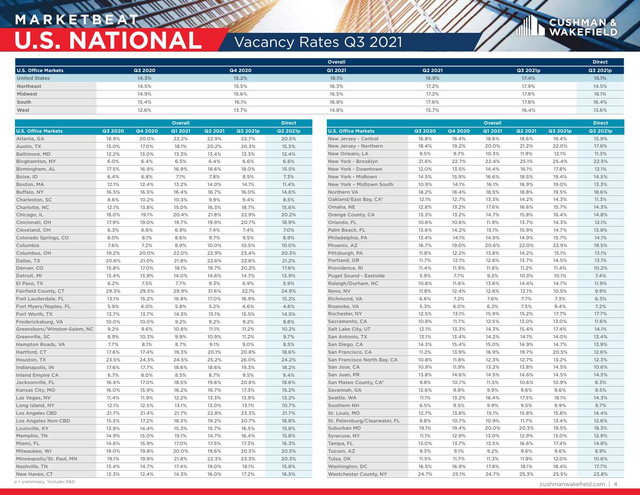# **M A R K E T B E AT U.S. NATIONAL Vacancy Rates Q3 2021**

|                            |         |         | <b>Overall</b> |         |          | <b>Direct</b> |
|----------------------------|---------|---------|----------------|---------|----------|---------------|
| <b>U.S. Office Markets</b> | Q3 2020 | Q4 2020 | Q1 2021        | Q2 2021 | Q3 2021p | Q3 2021p      |
| <b>United States</b>       | 14.3%   | 15.2%   | 16.1%          | 16.9%   | 17.4%    | 15.1%         |
| Northeast                  | 14.5%   | 15.5%   | 16.3%          | 17.2%   | 17.9%    | 14.5%         |
| Midwest                    | 14.9%   | 15.6%   | 16.5%          | 17.2%   | 17.8%    | 16.1%         |
| South                      | 15.4%   | 16.1%   | 16.8%          | 17.6%   | 17.8%    | 16.4%         |
| West                       | 12.6%   | 13.7%   | 14.8%          | 15.7%   | 16.4%    | 13.6%         |

|                              | <b>Overall</b><br><b>Direct</b> |         |         |         | <b>Overall</b> |          |                               |         | <b>Direct</b> |         |                |          |          |
|------------------------------|---------------------------------|---------|---------|---------|----------------|----------|-------------------------------|---------|---------------|---------|----------------|----------|----------|
| <b>U.S. Office Markets</b>   | Q3 2020                         | Q4 2020 | Q1 2021 | Q2 2021 | Q3 2021p       | Q3 2021p | <b>U.S. Office Markets</b>    | Q3 2020 | Q4 2020       | Q1 2021 | <b>Q2 2021</b> | Q3 2021p | Q3 2021p |
| Atlanta, GA                  | 18.9%                           | 20.0%   | 22.2%   | 22.9%   | 22.7%          | 20.5%    | New Jersey - Central          | 16.8%   | 18.4%         | 18.6%   | 18.6%          | 19.4%    | 15.9%    |
| Austin, TX                   | 15.0%                           | 17.0%   | 18.1%   | 20.2%   | 20.3%          | 15.5%    | New Jersey - Northern         | 18.4%   | 19.2%         | 20.0%   | 21.2%          | 22.0%    | 17.6%    |
| Baltimore, MD                | 12.2%                           | 13.0%   | 13.3%   | 13.4%   | 13.3%          | 12.4%    | New Orleans, LA               | 9.5%    | 9.7%          | 10.3%   | 11.9%          | 12.1%    | 11.3%    |
| Binghamton, NY               | 6.0%                            | 6.4%    | 6.5%    | 6.4%    | 6.6%           | 6.6%     | New York - Brooklyn           | 21.6%   | 22.7%         | 22.4%   | 25.1%          | 25.4%    | 22.5%    |
| Birmingham, AL               | 17.5%                           | 16.9%   | 16.9%   | 18.6%   | 18.0%          | 15.5%    | New York - Downtown           | 12.0%   | 13.5%         | 14.4%   | 16.1%          | 17.8%    | 12.1%    |
| Boise, ID                    | 6.4%                            | 6.8%    | 7.1%    | 7.8%    | 8.5%           | 7.3%     | New York - Midtown            | 14.5%   | 15.9%         | 16.6%   | 18.5%          | 19.4%    | 14.5%    |
| Boston, MA                   | 12.1%                           | 12.4%   | 13.2%   | 14.0%   | 14.1%          | 11.4%    | New York - Midtown South      | 10.9%   | 14.1%         | 16.1%   | 16.9%          | 19.0%    | 13.3%    |
| Buffalo, NY                  | 16.5%                           | 16.5%   | 16.4%   | 16.7%   | 16.0%          | 14.6%    | Northern VA                   | 18.2%   | 18.4%         | 18.5%   | 18.8%          | 19.5%    | 18.6%    |
| Charleston, SC               | 8.6%                            | 10.2%   | 10.3%   | 9.9%    | 9.4%           | 8.5%     | Oakland/East Bay, CA*         | 12.1%   | 12.7%         | 13.3%   | 14.2%          | 14.3%    | 11.3%    |
| Charlotte, NC                | 12.1%                           | 13.8%   | 15.0%   | 16.3%   | 18.7%          | 15.6%    | Omaha, NE                     | 12.8%   | 13.2%         | 17.6%   | 16.6%          | 15.7%    | 14.3%    |
| Chicago, IL                  | 18.0%                           | 19.1%   | 20.4%   | 21.8%   | 22.9%          | 20.2%    | Orange County, CA             | 13.3%   | 13.2%         | 14.7%   | 15.8%          | 16.4%    | 14.8%    |
| Cincinnati, OH               | 17.9%                           | 19.0%   | 19.7%   | 19.9%   | 20.7%          | 18.9%    | Orlando, FL                   | 10.6%   | 10.6%         | 11.9%   | 13.7%          | 14.3%    | 12.1%    |
| Cleveland, OH                | 6.3%                            | 6.6%    | 6.9%    | 7.4%    | 7.4%           | 7.0%     | Palm Beach, FL                | 13.6%   | 14.2%         | 15.1%   | 15.9%          | 14.7%    | 13.8%    |
| Colorado Springs, CO         | 8.0%                            | 8.1%    | 8.6%    | 9.7%    | 9.5%           | 8.9%     | Philadelphia, PA              | 13.4%   | 14.1%         | 14.9%   | 14.9%          | 15.7%    | 14.1%    |
| Columbia                     | 7.6%                            | 7.2%    | 8.9%    | 10.0%   | 10.5%          | 10.0%    | Phoenix, AZ                   | 16.7%   | 19.0%         | 20.6%   | 22.0%          | 22.9%    | 19.5%    |
| Columbus, OH                 | 19.2%                           | 20.0%   | 22.0%   | 22.9%   | 23.4%          | 20.3%    | Pittsburgh, PA                | 11.8%   | 12.2%         | 13.8%   | 14.2%          | 15.1%    | 13.1%    |
| Dallas, TX                   | 20.6%                           | 21.0%   | 21.8%   | 22.6%   | 22.8%          | 21.2%    | Portland, OR                  | 11.7%   | 12.1%         | 12.6%   | 13.7%          | 14.5%    | 13.1%    |
| Denver, CO                   | 15.8%                           | 17.0%   | 18.1%   | 19.7%   | 20.2%          | 17.6%    | Providence, RI                | 11.4%   | 11.9%         | 11.8%   | 11.2%          | 11.4%    | 10.2%    |
| Detroit, MI                  | 13.4%                           | 13.9%   | 14.0%   | 14.6%   | 14.7%          | 13.9%    | Puget Sound - Eastside        | 5.9%    | 7.7%          | 9.2%    | 10.3%          | 10.1%    | 7.4%     |
| El Paso, TX                  | 6.2%                            | 7.5%    | 7.7%    | 9.3%    | 6.9%           | 5.9%     | Raleigh/Durham, NC            | 10.8%   | 11.6%         | 13.6%   | 14.4%          | 14.7%    | 11.9%    |
| Fairfield County, CT         | 29.3%                           | 29.5%   | 29.9%   | 31.6%   | 32.1%          | 24.9%    | Reno, NV                      | 11.8%   | 12.4%         | 12.6%   | 12.1%          | 10.5%    | 9.9%     |
| Fort Lauderdale, FL          | 13.1%                           | 15.2%   | 16.8%   | 17.0%   | 16.9%          | 15.2%    | Richmond, VA                  | 6.6%    | 7.2%          | 7.6%    | 7.7%           | 7.3%     | 6.3%     |
| Fort Myers/Naples. FL        | 5.9%                            | 6.0%    | 5.8%    | 5.2%    | 4.6%           | 4.6%     | Roanoke, VA                   | 5.3%    | 6.0%          | 6.2%    | 7.5%           | 9.4%     | 7.2%     |
| Fort Worth, TX               | 13.7%                           | 13.7%   | 14.3%   | 15.1%   | 15.5%          | 14.5%    | Rochester, NY                 | 12.5%   | 13.1%         | 15.9%   | 15.2%          | 17.7%    | 17.7%    |
| Fredericksburg, VA           | 10.0%                           | 10.0%   | 9.2%    | 9.2%    | 9.2%           | 8.8%     | Sacramento, CA                | 10.8%   | 11.7%         | 12.5%   | 13.0%          | 13.0%    | 11.6%    |
| Greensboro/Winston-Salem, NC | 9.2%                            | 9.6%    | 10.8%   | 11.1%   | 11.2%          | 10.2%    | Salt Lake City, UT            | 12.1%   | 13.3%         | 14.3%   | 15.4%          | 17.4%    | 14.1%    |
| Greenville, SC               | 8.9%                            | 10.3%   | 9.9%    | 10.9%   | 11.2%          | 9.7%     | San Antonio, TX               | 13.1%   | 13.4%         | 14.2%   | 14.1%          | 14.0%    | 13.4%    |
| Hampton Roads, VA            | 7.7%                            | 8.1%    | 8.7%    | 9.1%    | 9.0%           | 8.5%     | San Diego, CA                 | 14.3%   | 15.4%         | 15.0%   | 14.9%          | 14.7%    | 13.9%    |
| Hartford, CT                 | 17.6%                           | 17.4%   | 19.3%   | 20.1%   | 20.8%          | 18.6%    | San Francisco, CA             | 11.2%   | 13.9%         | 16.9%   | 19.7%          | 20.5%    | 12.6%    |
| Houston, TX                  | 23.5%                           | 24.3%   | 24.5%   | 25.2%   | 26.0%          | 24.2%    | San Francisco North Bay, CA   | 10.8%   | 11.8%         | 12.3%   | 12.7%          | 13.2%    | 12.3%    |
| Indianapolis, IN             | 17.6%                           | 17.7%   | 18.6%   | 18.6%   | 19.3%          | 18.2%    | San Jose, CA                  | 10.9%   | 11.9%         | 13.2%   | 13.8%          | 14.5%    | 10.6%    |
| <b>Inland Empire CA</b>      | 6.7%                            | 8.0%    | 8.5%    | 8.7%    | 9.5%           | 9.4%     | San Juan, PR                  | 13.8%   | 14.6%         | 14.5%   | 14.6%          | 14.5%    | 14.5%    |
| Jacksonville, FL             | 16.4%                           | 17.0%   | 18.5%   | 19.6%   | 20.8%          | 18.6%    | San Mateo County, CA*         | 9.8%    | 10.7%         | 11.5%   | 10.6%          | 10.9%    | 8.3%     |
| Kansas City, MO              | 16.0%                           | 15.9%   | 16.2%   | 16.7%   | 17.3%          | 15.2%    | Savannah, GA                  | 12.6%   | 9.9%          | 9.9%    | 9.6%           | 9.6%     | 9.5%     |
| Las Vegas, NV                | 11.4%                           | 11.9%   | 12.2%   | 13.3%   | 13.9%          | 13.2%    | Seattle, WA                   | 11.1%   | 13.2%         | 16.4%   | 17.5%          | 18.1%    | 14.3%    |
| Long Island, NY              | 12.1%                           | 12.5%   | 13.1%   | 13.0%   | 13.1%          | 10.7%    | Southern NH                   | 6.5%    | 9.5%          | 9.9%    | 9.5%           | 9.9%     | 9.7%     |
| Los Angeles CBD              | 21.7%                           | 21.4%   | 21.7%   | 22.8%   | 23.3%          | 21.7%    | St. Louis, MO                 | 12.7%   | 13.8%         | 15.1%   | 15.8%          | 15.8%    | 14.4%    |
| Los Angeles Non-CBD          | 15.5%                           | 17.2%   | 18.3%   | 19.2%   | 20.7%          | 18.8%    | St. Petersburg/Clearwater, FL | 9.8%    | 10.7%         | 10.9%   | 11.7%          | 13.4%    | 12.6%    |
| Louisville, KY               | 13.9%                           | 14.4%   | 15.3%   | 15.7%   | 16.5%          | 15.8%    | Suburban MD                   | 19.1%   | 19.4%         | 20.0%   | 20.3%          | 19.5%    | 18.3%    |
| Memphis, TN                  | 14.9%                           | 15.0%   | 15.1%   | 14.7%   | 16.4%          | 15.8%    | Syracuse, NY                  | 11.1%   | 12.9%         | 13.0%   | 12.9%          | 13.0%    | 12.9%    |
| Miami, FL                    | 14.6%                           | 15.9%   | 17.0%   | 17.5%   | 17.3%          | 16.3%    | Tampa, FL                     | 13.0%   | 13.7%         | 13.5%   | 16.6%          | 17.4%    | 14.8%    |
| Milwaukee, WI                | 19.0%                           | 19.8%   | 20.0%   | 19.6%   | 20.5%          | 20.5%    | Tucson, AZ                    | 9.3%    | 9.1%          | 9.2%    | 9.6%           | 9.6%     | 8.9%     |
| Minneapolis/St. Paul, MN     | 19.1%                           | 19.9%   | 21.8%   | 22.3%   | 23.3%          | 20.3%    | Tulsa, OK                     | 11.5%   | 11.7%         | 11.3%   | 11.8%          | 12.0%    | 10.6%    |
| Nashville, TN                | 13.4%                           | 14.7%   | 17.4%   | 19.0%   | 19.1%          | 15.8%    | Washington, DC                | 16.5%   | 16.9%         | 17.8%   | 18.1%          | 18.4%    | 17.7%    |
| New Haven, CT                | 12.3%                           | 12.4%   | 14.3%   | 16.0%   | 17.2%          | 16.5%    | Westchester County, NY        | 24.7%   | 25.1%         | 24.7%   | 25.3%          | 25.5%    | 23.8%    |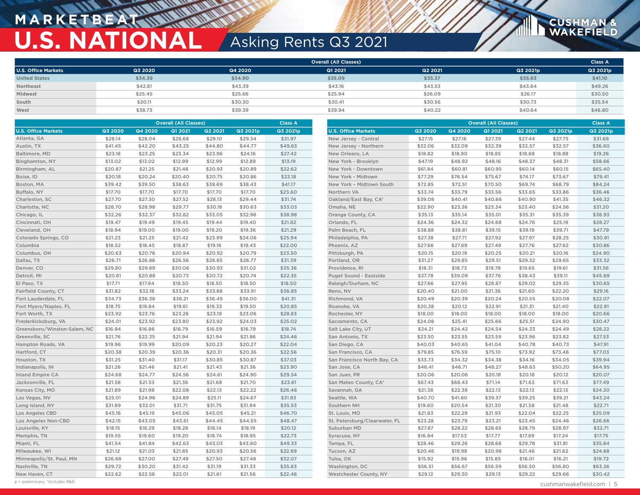## **M A R K E T B E AT U.S. NATIONAL** Asking Rents Q3 2021

|                            | <b>Overall (All Classes)</b> |         |         |         |          |          |  |  |
|----------------------------|------------------------------|---------|---------|---------|----------|----------|--|--|
| <b>U.S. Office Markets</b> | Q3 2020                      | Q4 2020 | Q1 2021 | Q2 2021 | Q3 2021p | Q3 2021p |  |  |
| <b>United States</b>       | \$34.39                      | \$34.90 | \$35.09 | \$35.37 | \$35.63  | \$41.10  |  |  |
| Northeast                  | \$42.81                      | \$43.39 | \$43.16 | \$43.53 | \$43.64  | \$49.26  |  |  |
| Midwest                    | \$25.45                      | \$25.66 | \$25.94 | \$26.09 | \$26.17  | \$30.50  |  |  |
| South                      | \$30.11                      | \$30.30 | \$30.41 | \$30.56 | \$30.73  | \$35.54  |  |  |
| West                       | \$38.73                      | \$39.39 | \$39.94 | \$40.22 | \$40.64  | \$46.80  |  |  |

|                              | <b>Overall (All Classes)</b><br><b>Class A</b> |         |         |                | <b>Overall (All Classes)</b> |          |                               |         | <b>Class A</b> |         |         |          |          |
|------------------------------|------------------------------------------------|---------|---------|----------------|------------------------------|----------|-------------------------------|---------|----------------|---------|---------|----------|----------|
| <b>U.S. Office Markets</b>   | Q3 2020                                        | Q4 2020 | Q1 2021 | <b>Q2 2021</b> | Q3 2021p                     | Q3 2021p | <b>U.S. Office Markets</b>    | Q3 2020 | Q4 2020        | Q1 2021 | Q2 2021 | Q3 2021p | Q3 2021p |
| Atlanta, GA                  | \$28.14                                        | \$28.04 | \$28.68 | \$29.10        | \$29.34                      | \$31.97  | New Jersey - Central          | \$27.15 | \$27.16        | \$27.39 | \$27.44 | \$27.73  | \$31.68  |
| Austin, TX                   | \$41.45                                        | \$42.20 | \$43.25 | \$44.80        | \$44.77                      | \$49.63  | New Jersey - Northern         | \$32.06 | \$32.09        | \$32.39 | \$32.57 | \$32.57  | \$36.60  |
| Baltimore, MD                | \$23.18                                        | \$23.25 | \$23.34 | \$23.96        | \$24.16                      | \$27.42  | New Orleans, LA               | \$18.82 | \$18.90        | \$18.85 | \$18.68 | \$18.88  | \$19.26  |
| Binghamton, NY               | \$13.02                                        | \$13.02 | \$12.99 | \$12.99        | \$12.89                      | \$13.19  | New York - Brooklyn           | \$47.19 | \$48.92        | \$48.16 | \$48.37 | \$48.31  | \$58.66  |
| Birmingham, AL               | \$20.87                                        | \$21.25 | \$21.48 | \$20.93        | \$20.89                      | \$22.62  | New York - Downtown           | \$61.84 | \$60.81        | \$60.95 | \$60.14 | \$60.15  | \$65.40  |
| Boise, ID                    | \$20.18                                        | \$20.24 | \$20.40 | \$20.75        | \$20.86                      | \$22.18  | New York - Midtown            | \$77.29 | \$76.54        | \$75.67 | \$74.17 | \$73.67  | \$79.41  |
| Boston, MA                   | \$39.42                                        | \$39.50 | \$38.63 | \$38.69        | \$38.43                      | \$41.17  | New York - Midtown South      | \$72.85 | \$72.51        | \$70.50 | \$69.74 | \$68.79  | \$84.24  |
| Buffalo, NY                  | \$17.70                                        | \$17.70 | \$17.70 | \$17.70        | \$17.70                      | \$23.60  | Northern VA                   | \$33.74 | \$33.79        | \$33.56 | \$33.65 | \$33.86  | \$36.46  |
| Charleston, SC               | \$27.70                                        | \$27.30 | \$27.52 | \$28.13        | \$29.44                      | \$31.74  | Oakland/East Bay, CA*         | \$39.08 | \$40.41        | \$40.66 | \$40.90 | \$41.35  | \$46.32  |
| Charlotte, NC                | \$28.70                                        | \$28.98 | \$29.77 | \$30.18        | \$30.63                      | \$33.03  | Omaha, NE                     | \$22.90 | \$23.36        | \$23.34 | \$23.40 | \$24.56  | \$31.20  |
| Chicago, IL                  | \$32.26                                        | \$32.37 | \$32.82 | \$33.05        | \$32.96                      | \$38.98  | Orange County, CA             | \$35.13 | \$35.14        | \$35.01 | \$35.31 | \$35.39  | \$38.93  |
| Cincinnati, OH               | \$19.47                                        | \$19.49 | \$19.45 | \$19.44        | \$19.40                      | \$21.82  | Orlando, FL                   | \$24.36 | \$24.32        | \$24.68 | \$24.76 | \$25.19  | \$28.27  |
| Cleveland, OH                | \$18.94                                        | \$19.00 | \$19.00 | \$19.20        | \$19.36                      | \$21.29  | Palm Beach, FL                | \$38.88 | \$38.81        | \$39.15 | \$39.19 | \$39.71  | \$47.79  |
| Colorado Springs, CO         | \$21.23                                        | \$21.25 | \$21.42 | \$23.99        | \$24.06                      | \$25.94  | Philadelphia, PA              | \$27.38 | \$27.71        | \$27.92 | \$27.97 | \$28.25  | \$30.81  |
| Columbia                     | \$18.52                                        | \$18.45 | \$18.87 | \$19.16        | \$19.43                      | \$22.00  | Phoenix, AZ                   | \$27.66 | \$27.69        | \$27.49 | \$27.76 | \$27.62  | \$30.86  |
| Columbus, OH                 | \$20.63                                        | \$20.76 | \$20.94 | \$20.92        | \$20.79                      | \$23.50  | Pittsburgh, PA                | \$20.15 | \$20.19        | \$20.25 | \$20.21 | \$20.16  | \$24.90  |
| Dallas, TX                   | \$26.71                                        | \$26.86 | \$26.56 | \$26.85        | \$26.77                      | \$31.39  | Portland, OR                  | \$31.27 | \$29.85        | \$29.51 | \$29.32 | \$29.65  | \$33.32  |
| Denver, CO                   | \$29.80                                        | \$29.89 | \$30.06 | \$30.93        | \$31.02                      | \$35.36  | Providence, RI                | \$18.31 | \$18.73        | \$19.78 | \$19.65 | \$19.61  | \$31.56  |
| Detroit, MI                  | \$20.81                                        | \$20.88 | \$20.73 | \$20.72        | \$20.74                      | \$22.35  | Puget Sound - Eastside        | \$37.78 | \$39.09        | \$37.76 | \$38.43 | \$39.11  | \$45.69  |
| El Paso, TX                  | \$17.71                                        | \$17.64 | \$18.50 | \$18.50        | \$18.50                      | \$18.50  | Raleigh/Durham, NC            | \$27.66 | \$27.95        | \$28.87 | \$29.02 | \$29.35  | \$30.65  |
| Fairfield County, CT         | \$31.82                                        | \$32.18 | \$33.24 | \$33.88        | \$33.91                      | \$36.85  | Reno, NV                      | \$20.40 | \$21.00        | \$21.36 | \$21.60 | \$22.20  | \$29.16  |
| Fort Lauderdale, FL          | \$34.73                                        | \$36.38 | \$36.21 | \$36.45        | \$36.00                      | \$41.31  | Richmond, VA                  | \$20.49 | \$20.39        | \$20.24 | \$20.55 | \$20.08  | \$22.07  |
| Fort Myers/Naples. FL        | \$18.75                                        | \$19.84 | \$19.61 | \$19.33        | \$19.50                      | \$20.85  | Roanoke, VA                   | \$20.38 | \$20.12        | \$22.91 | \$21.31 | \$21.40  | \$22.91  |
| Fort Worth, TX               | \$23.92                                        | \$23.76 | \$23.26 | \$23.19        | \$23.06                      | \$28.83  | Rochester, NY                 | \$18.00 | \$18.00        | \$18.00 | \$18.00 | \$18.00  | \$20.66  |
| Frederkicksburg, VA          | \$24.01                                        | \$23.92 | \$23.80 | \$23.92        | \$24.03                      | \$25.02  | Sacramento, CA                | \$24.08 | \$25.41        | \$25.66 | \$25.51 | \$24.90  | \$30.47  |
| Greensboro/Winston-Salem, NC | \$16.84                                        | \$16.86 | \$16.79 | \$16.59        | \$16.79                      | \$18.74  | Salt Lake City, UT            | \$24.21 | \$24.42        | \$24.54 | \$24.33 | \$24.49  | \$28.22  |
| Greenville, SC               | \$21.76                                        | \$22.35 | \$21.94 | \$21.94        | \$21.86                      | \$24.46  | San Antonio, TX               | \$23.50 | \$23.55        | \$23.59 | \$23.96 | \$23.82  | \$27.53  |
| Hampton Roads, VA            | \$19.96                                        | \$19.99 | \$20.09 | \$20.23        | \$20.27                      | \$22.04  | San Diego, CA                 | \$40.03 | \$40.65        | \$41.04 | \$40.78 | \$40.73  | \$47.91  |
| Hartford, CT                 | \$20.38                                        | \$20.39 | \$20.36 | \$20.31        | \$20.36                      | \$22.56  | San Francisco, CA             | \$79.85 | \$76.59        | \$75.10 | \$73.92 | \$73.46  | \$77.03  |
| Houston, TX                  | \$31.25                                        | \$31.40 | \$31.17 | \$30.85        | \$30.87                      | \$37.03  | San Francisco North Bay, CA   | \$33.73 | \$34.32        | \$34.38 | \$34.16 | \$34.05  | \$39.94  |
| Indianapolis, IN             | \$21.26                                        | \$21.46 | \$21.41 | \$21.43        | \$21.36                      | \$23.90  | San Jose, CA                  | \$46.41 | \$46.71        | \$48.27 | \$48.63 | \$50.20  | \$64.95  |
| <b>Inland Empire CA</b>      | \$24.68                                        | \$24.77 | \$24.56 | \$24.61        | \$24.90                      | \$29.34  | San Juan, PR                  | \$20.06 | \$20.06        | \$20.18 | \$20.18 | \$20.12  | \$20.07  |
| Jacksonville, FL             | \$21.58                                        | \$21.53 | \$21.36 | \$21.68        | \$21.70                      | \$23.61  | San Mateo County, CA*         | \$67.43 | \$68.43        | \$71.14 | \$71.63 | \$71.63  | \$77.49  |
| Kansas City, MO              | \$21.89                                        | \$21.98 | \$22.08 | \$22.13        | \$22.22                      | \$26.46  | Savannah, GA                  | \$21.38 | \$22.38        | \$22.13 | \$22.13 | \$22.13  | \$24.30  |
| Las Vegas, NV                | \$25.01                                        | \$24.96 | \$24.89 | \$25.11        | \$24.67                      | \$31.83  | Seattle, WA                   | \$40.70 | \$41.60        | \$39.37 | \$39.25 | \$39.21  | \$43.24  |
| Long Island, NY              | \$31.89                                        | \$32.01 | \$31.71 | \$31.75        | \$31.94                      | \$35.53  | Southern NH                   | \$19.60 | \$20.54        | \$21.30 | \$21.58 | \$21.48  | \$22.71  |
| Los Angeles CBD              | \$45.16                                        | \$45.19 | \$45.06 | \$45.05        | \$45.21                      | \$46.70  | St. Louis, MO                 | \$21.63 | \$22.29        | \$21.93 | \$22.04 | \$22.25  | \$25.09  |
| Los Angeles Non-CBD          | \$42.15                                        | \$43.05 | \$43.61 | \$44.45        | \$44.55                      | \$48.47  | St. Petersburg/Clearwater, FL | \$23.28 | \$23.79        | \$23.21 | \$23.45 | \$24.46  | \$26.66  |
| Louisville, KY               | \$18.15                                        | \$18.29 | \$18.28 | \$18.14        | \$18.19                      | \$20.12  | Suburban MD                   | \$27.87 | \$28.22        | \$28.65 | \$28.79 | \$28.97  | \$32.71  |
| Memphis, TN                  | \$19.55                                        | \$19.60 | \$19.20 | \$18.74        | \$18.95                      | \$22.73  | Syracuse, NY                  | \$16.94 | \$17.53        | \$17.77 | \$17.89 | \$17.24  | \$17.75  |
| Miami, FL                    | \$41.54                                        | \$41.84 | \$42.63 | \$43.03        | \$43.60                      | \$49.33  | Tampa, FL                     | \$28.46 | \$29.26        | \$28.68 | \$29.78 | \$31.81  | \$35.84  |
| Milwaukee, WI                | \$21.12                                        | \$21.03 | \$21.85 | \$20.93        | \$20.56                      | \$22.69  | Tucson, AZ                    | \$20.46 | \$19.98        | \$20.98 | \$21.46 | \$21.62  | \$24.88  |
| Minneapolis/St. Paul, MN     | \$26.68                                        | \$27.00 | \$27.49 | \$27.50        | \$27.48                      | \$32.07  | Tulsa, OK                     | \$15.92 | \$15.96        | \$15.85 | \$16.01 | \$16.21  | \$19.72  |
| Nashville, TN                | \$29.72                                        | \$30.20 | \$31.42 | \$31.19        | \$31.33                      | \$35.63  | Washington, DC                | \$56.51 | \$56.67        | \$56.59 | \$56.50 | \$56.80  | \$63.26  |
| New Haven, CT                | \$22.62                                        | \$22.56 | \$22.01 | \$21.61        | \$21.56                      | \$22.46  | Westchester County, NY        | \$29.12 | \$29.30        | \$29.13 | \$29.22 | \$29.66  | \$30.42  |

p = preliminary, \*Includes R&D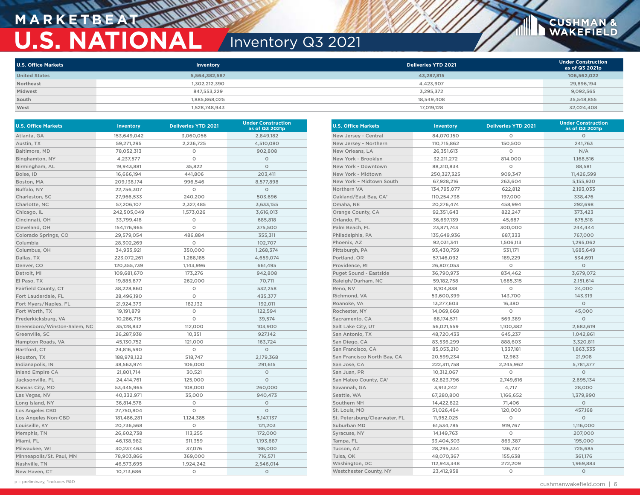## **MARKETBEA U.S. NATIONAL** Inventory Q3 2021

| <b>U.S. Office Markets</b> | Inventory     | <b>Deliveries YTD 2021</b> | <b>Under Construction</b><br>as of Q3 2021p |
|----------------------------|---------------|----------------------------|---------------------------------------------|
| <b>United States</b>       | 5,564,382,587 | 43,287,815                 | 106,562,022                                 |
| Northeast                  | 1,302,212,390 | 4.423.907                  | 29,896,194                                  |
| Midwest                    | 847,553,229   | 3,295,372                  | 9,092,565                                   |
| South                      | 1,885,868,025 | 18,549,408                 | 35,548,855                                  |
| West                       | 1,528,748,943 | 17,019,128                 | 32,024,408                                  |

| <b>U.S. Office Markets</b>   | <b>Inventory</b> | <b>Deliveries YTD 2021</b> | <b>Under Construction</b><br>as of Q3 2021p |
|------------------------------|------------------|----------------------------|---------------------------------------------|
| Atlanta, GA                  | 153,649,042      | 3,060,056                  | 2,849,182                                   |
| Austin, TX                   | 59,271,295       | 2,236,725                  | 4,510,080                                   |
| Baltimore, MD                | 78,052,313       | O                          | 902,808                                     |
| Binghamton, NY               | 4,237,577        | O                          | O                                           |
| Birmingham, AL               | 19,943,881       | 35,822                     | $\circ$                                     |
| Boise, ID                    | 16,666,194       | 441,806                    | 203,411                                     |
| Boston, MA                   | 209,138,174      | 996,546                    | 8,577,898                                   |
| Buffalo, NY                  | 22,756,307       | O                          | 0                                           |
| Charleston, SC               | 27,966,533       | 240,200                    | 503,696                                     |
| Charlotte, NC                | 57,206,107       | 2,327,485                  | 3,633,155                                   |
| Chicago, IL                  | 242,505,049      | 1,573,026                  | 3,616,013                                   |
| Cincinnati, OH               | 33,799,418       | O                          | 685,818                                     |
| Cleveland, OH                | 154,176,965      | $\circ$                    | 375,500                                     |
| Colorado Springs, CO         | 29,579,054       | 486,884                    | 355,311                                     |
| Columbia                     | 28,302,269       | O                          | 102,707                                     |
| Columbus, OH                 | 34,935,921       | 350,000                    | 1,268,374                                   |
| Dallas, TX                   | 223,072,261      | 1,288,185                  | 4,659,074                                   |
| Denver, CO                   | 120,355,739      | 1,143,996                  | 661,495                                     |
| Detroit, MI                  | 109,681,670      | 173,276                    | 942,808                                     |
| El Paso, TX                  | 19,885,877       | 262,000                    | 70,711                                      |
| Fairfield County, CT         | 38,228,860       | O                          | 532,258                                     |
| Fort Lauderdale, FL          | 28,496,190       | O                          | 435,377                                     |
| Fort Myers/Naples. FL        | 21,924,373       | 182,132                    | 192,011                                     |
| Fort Worth, TX               | 19,191,879       | O                          | 122,594                                     |
| Frederkicksburg, VA          | 10,286,715       | O                          | 39,574                                      |
| Greensboro/Winston-Salem, NC | 35,128,832       | 112,000                    | 103,900                                     |
| Greenville, SC               | 26,287,938       | 10,351                     | 927,142                                     |
| Hampton Roads, VA            | 45,130,752       | 121,000                    | 163,724                                     |
| Hartford, CT                 | 24,816,590       | O                          | $\circ$                                     |
| Houston, TX                  | 188,978,122      | 518,747                    | 2,179,368                                   |
| Indianapolis, IN             | 38,563,974       | 106,000                    | 291,615                                     |
| <b>Inland Empire CA</b>      | 21,801,714       | 30,521                     | $\circ$                                     |
| Jacksonville, FL             | 24,414,761       | 125,000                    | $\circ$                                     |
| Kansas City, MO              | 53,445,965       | 108,000                    | 260,000                                     |
| Las Vegas, NV                | 40,332,971       | 35,000                     | 940,473                                     |
| Long Island, NY              | 36,814,578       | O                          | $\circ$                                     |
| Los Angeles CBD              | 27,750,804       | O                          | $\circ$                                     |
| Los Angeles Non-CBD          | 181,486,281      | 1,124,385                  | 5, 147, 137                                 |
| Louisville, KY               | 20,736,568       | O                          | 121,203                                     |
| Memphis, TN                  | 26,602,738       | 113,255                    | 172,000                                     |
| Miami, FL                    | 46,138,982       | 311,359                    | 1,193,687                                   |
| Milwaukee, WI                | 30,237,463       | 37,076                     | 186,000                                     |
| Minneapolis/St. Paul, MN     | 78,903,866       | 369,000                    | 716,571                                     |
| Nashville, TN                | 46,573,695       | 1,924,242                  | 2,546,014                                   |
| New Haven, CT                | 10,713,686       | $\circ$                    | $\circ$                                     |

| <b>U.S. Office Markets</b>    | Inventory    | <b>Deliveries YTD 2021</b> | <b>Under Construction</b><br>as of Q3 2021p |
|-------------------------------|--------------|----------------------------|---------------------------------------------|
| New Jersey - Central          | 84,070,150   | 0                          | O                                           |
| New Jersey - Northern         | 110,715,862  | 150,500                    | 241,763                                     |
| New Orleans, LA               | 26,351,613   | O                          | N/A                                         |
| New York - Brooklyn           | 32,211,272   | 814,000                    | 1,168,516                                   |
| New York - Downtown           | 88,310,834   | O                          | 88,581                                      |
| New York - Midtown            | 250,327,325  | 909,347                    | 11,426,599                                  |
| New York - Midtown South      | 67,928,216   | 263,604                    | 5,155,930                                   |
| Northern VA                   | 134,795,077  | 622,812                    | 2,193,033                                   |
| Oakland/East Bay, CA*         | 110,254,738  | 197,000                    | 338,476                                     |
| Omaha, NE                     | 20,276,474   | 458,994                    | 292,698                                     |
| Orange County, CA             | 92,351,643   | 822,247                    | 373,423                                     |
| Orlando, FL                   | 36,697,139   | 45,687                     | 675,518                                     |
| Palm Beach, FL                | 23,871,743   | 300,000                    | 244,444                                     |
| Philadelphia, PA              | 135,649,936  | 687,333                    | 767,000                                     |
| Phoenix, AZ                   | 92,031,341   | 1,506,113                  | 1,295,062                                   |
| Pittsburgh, PA                | 93,430,759   | 531,171                    | 1,685,649                                   |
| Portland, OR                  | 57,146,092   | 189,229                    | 534,691                                     |
| Providence, RI                | 26,807,053   | O                          | $\circ$                                     |
| Puget Sound - Eastside        | 36,790,973   | 834,462                    | 3,679,072                                   |
| Raleigh/Durham, NC            | 59,182,758   | 1,685,315                  | 2,151,614                                   |
| Reno, NV                      | 8,104,838    | O                          | 24,000                                      |
| Richmond, VA                  | 53,600,399   | 143,700                    | 143,319                                     |
| Roanoke, VA                   | 13,277,603   | 16,380                     | $\circ$                                     |
| Rochester, NY                 | 14,069,668   | $\circ$                    | 45,000                                      |
| Sacramento, CA                | 68,174,571   | 569,389                    | $\circ$                                     |
| Salt Lake City, UT            | 56,021,559   | 1,100,382                  | 2,683,619                                   |
| San Antonio, TX               | 48,720,433   | 645,237                    | 1,042,861                                   |
| San Diego, CA                 | 83,536,299   | 888,603                    | 3,320,811                                   |
| San Francisco, CA             | 85,053,210   | 1,337,181                  | 1,863,333                                   |
| San Francisco North Bay, CA   | 20,599,234   | 12,963                     | 21,908                                      |
| San Jose, CA                  | 222,311,758  | 2,245,962                  | 5,781,377                                   |
| San Juan, PR                  | 10,312,067   | $\circ$                    | $\circ$                                     |
| San Mateo County, CA*         | 62,823,796   | 2,749,616                  | 2,695,134                                   |
| Savannah, GA                  | 3,913,242    | 4,717                      | 28,000                                      |
| Seattle, WA                   | 67,280,800   | 1,166,652                  | 1,379,990                                   |
| Southern NH                   | 14,422,822   | 71,406                     | 0                                           |
| St. Louis, MO                 | 51,026,464   | 120,000                    | 457,168                                     |
| St. Petersburg/Clearwater, FL | 11,952,025   | O                          | O                                           |
| Suburban MD                   | 61,534,785   | 919,767                    | 1,116,000                                   |
| Syracuse, NY                  | 14, 149, 763 | $\circ$                    | 207,000                                     |
| Tampa, FL                     | 33,404,303   | 869,387                    | 195,000                                     |
| Tucson, AZ                    | 28,295,334   | 136,737                    | 725,685                                     |
| Tulsa, OK                     | 48,070,367   | 155,638                    | 361,176                                     |
| Washington, DC                | 112,943,348  | 272,209                    | 1,969,883                                   |
| Westchester County, NY        | 23,412,958   | $\circ$                    | $\circ$                                     |